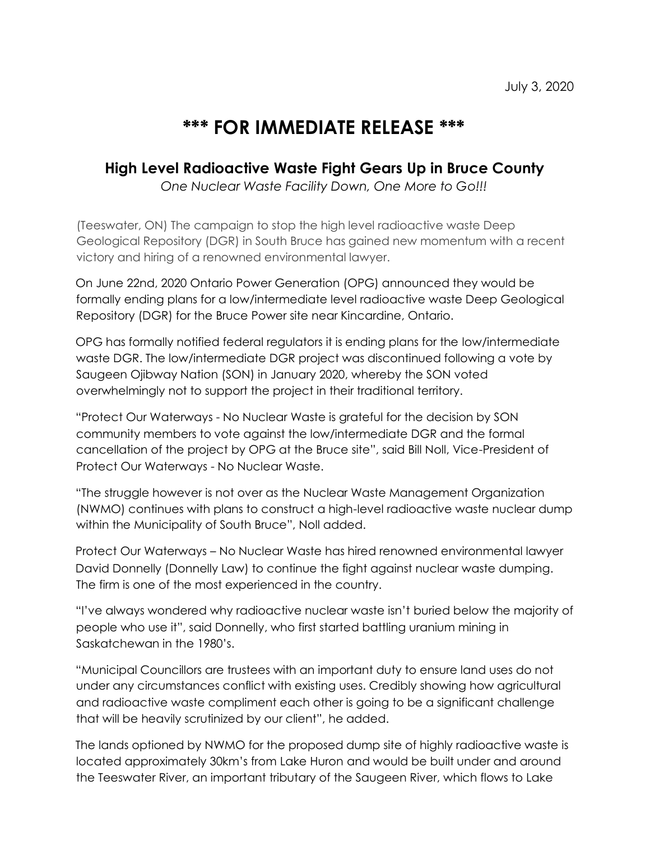## **\*\*\* FOR IMMEDIATE RELEASE \*\*\***

## **High Level Radioactive Waste Fight Gears Up in Bruce County**

*One Nuclear Waste Facility Down, One More to Go!!!* 

(Teeswater, ON) The campaign to stop the high level radioactive waste Deep Geological Repository (DGR) in South Bruce has gained new momentum with a recent victory and hiring of a renowned environmental lawyer.

On June 22nd, 2020 Ontario Power Generation (OPG) announced they would be formally ending plans for a low/intermediate level radioactive waste Deep Geological Repository (DGR) for the Bruce Power site near Kincardine, Ontario.

OPG has formally notified federal regulators it is ending plans for the low/intermediate waste DGR. The low/intermediate DGR project was discontinued following a vote by Saugeen Ojibway Nation (SON) in January 2020, whereby the SON voted overwhelmingly not to support the project in their traditional territory.

"Protect Our Waterways - No Nuclear Waste is grateful for the decision by SON community members to vote against the low/intermediate DGR and the formal cancellation of the project by OPG at the Bruce site", said Bill Noll, Vice-President of Protect Our Waterways - No Nuclear Waste.

"The struggle however is not over as the Nuclear Waste Management Organization (NWMO) continues with plans to construct a high-level radioactive waste nuclear dump within the Municipality of South Bruce", Noll added.

Protect Our Waterways – No Nuclear Waste has hired renowned environmental lawyer David Donnelly (Donnelly Law) to continue the fight against nuclear waste dumping. The firm is one of the most experienced in the country.

"I've always wondered why radioactive nuclear waste isn't buried below the majority of people who use it", said Donnelly, who first started battling uranium mining in Saskatchewan in the 1980's.

"Municipal Councillors are trustees with an important duty to ensure land uses do not under any circumstances conflict with existing uses. Credibly showing how agricultural and radioactive waste compliment each other is going to be a significant challenge that will be heavily scrutinized by our client", he added.

The lands optioned by NWMO for the proposed dump site of highly radioactive waste is located approximately 30km's from Lake Huron and would be built under and around the Teeswater River, an important tributary of the Saugeen River, which flows to Lake